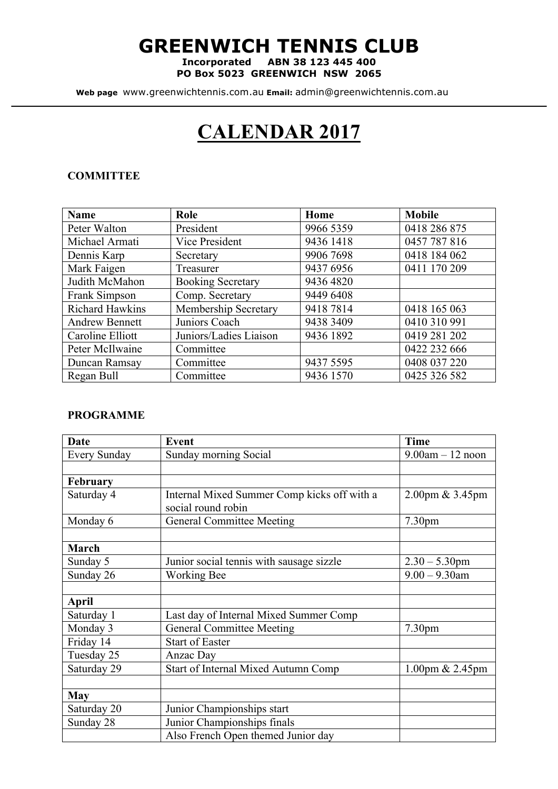# **GREENWICH TENNIS CLUB**

**Incorporated ABN 38 123 445 400 PO Box 5023 GREENWICH NSW 2065**

**Web page** www.greenwichtennis.com.au **Email:** admin@greenwichtennis.com.au

# **CALENDAR 2017**

#### **COMMITTEE**

| <b>Name</b>            | Role                     | Home      | <b>Mobile</b> |
|------------------------|--------------------------|-----------|---------------|
| Peter Walton           | President                | 9966 5359 | 0418 286 875  |
| Michael Armati         | Vice President           | 9436 1418 | 0457 787 816  |
| Dennis Karp            | Secretary                | 9906 7698 | 0418 184 062  |
| Mark Faigen            | Treasurer                | 9437 6956 | 0411 170 209  |
| Judith McMahon         | <b>Booking Secretary</b> | 9436 4820 |               |
| Frank Simpson          | Comp. Secretary          | 9449 6408 |               |
| <b>Richard Hawkins</b> | Membership Secretary     | 94187814  | 0418 165 063  |
| <b>Andrew Bennett</b>  | Juniors Coach            | 9438 3409 | 0410 310 991  |
| Caroline Elliott       | Juniors/Ladies Liaison   | 9436 1892 | 0419 281 202  |
| Peter McIlwaine        | Committee                |           | 0422 232 666  |
| Duncan Ramsay          | Committee                | 9437 5595 | 0408 037 220  |
| Regan Bull             | Committee                | 9436 1570 | 0425 326 582  |

#### **PROGRAMME**

| Date            | <b>Event</b>                                | <b>Time</b>          |
|-----------------|---------------------------------------------|----------------------|
| Every Sunday    | Sunday morning Social                       | $9.00$ am $-12$ noon |
|                 |                                             |                      |
| <b>February</b> |                                             |                      |
| Saturday 4      | Internal Mixed Summer Comp kicks off with a | 2.00pm & 3.45pm      |
|                 | social round robin                          |                      |
| Monday 6        | <b>General Committee Meeting</b>            | 7.30pm               |
|                 |                                             |                      |
| March           |                                             |                      |
| Sunday 5        | Junior social tennis with sausage sizzle    | $2.30 - 5.30$ pm     |
| Sunday 26       | <b>Working Bee</b>                          | $9.00 - 9.30$ am     |
|                 |                                             |                      |
| April           |                                             |                      |
| Saturday 1      | Last day of Internal Mixed Summer Comp      |                      |
| Monday 3        | <b>General Committee Meeting</b>            | 7.30 <sub>pm</sub>   |
| Friday 14       | <b>Start of Easter</b>                      |                      |
| Tuesday 25      | Anzac Day                                   |                      |
| Saturday 29     | <b>Start of Internal Mixed Autumn Comp</b>  | 1.00pm & 2.45pm      |
|                 |                                             |                      |
| <b>May</b>      |                                             |                      |
| Saturday 20     | Junior Championships start                  |                      |
| Sunday 28       | Junior Championships finals                 |                      |
|                 | Also French Open themed Junior day          |                      |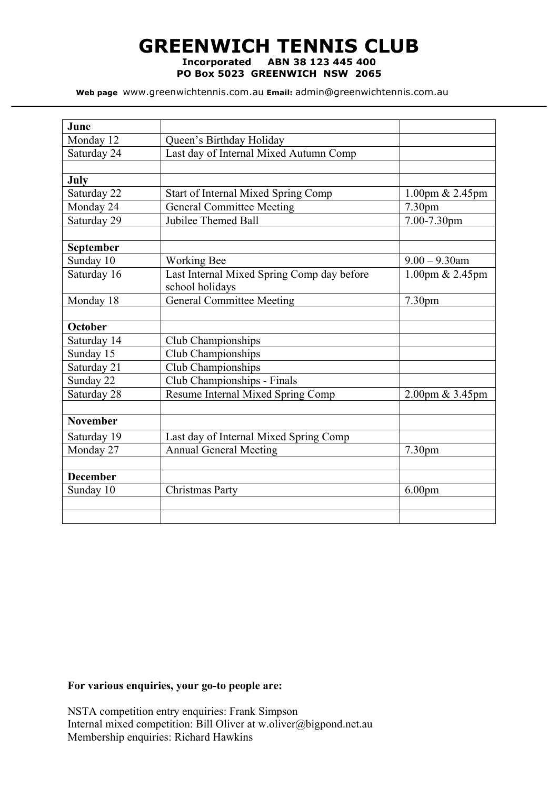# **GREENWICH TENNIS CLUB Incorporated ABN 38 123 445 400**

**PO Box 5023 GREENWICH NSW 2065**

**Web page** www.greenwichtennis.com.au **Email:** admin@greenwichtennis.com.au

| June            |                                            |                    |
|-----------------|--------------------------------------------|--------------------|
| Monday 12       | Queen's Birthday Holiday                   |                    |
| Saturday 24     | Last day of Internal Mixed Autumn Comp     |                    |
|                 |                                            |                    |
| July            |                                            |                    |
| Saturday 22     | <b>Start of Internal Mixed Spring Comp</b> | 1.00pm $& 2.45$ pm |
| Monday 24       | <b>General Committee Meeting</b>           | 7.30 <sub>pm</sub> |
| Saturday 29     | Jubilee Themed Ball                        | 7.00-7.30pm        |
|                 |                                            |                    |
| September       |                                            |                    |
| Sunday 10       | <b>Working Bee</b>                         | $9.00 - 9.30$ am   |
| Saturday 16     | Last Internal Mixed Spring Comp day before | $1.00$ pm & 2.45pm |
|                 | school holidays                            |                    |
| Monday 18       | <b>General Committee Meeting</b>           | 7.30 <sub>pm</sub> |
| October         |                                            |                    |
| Saturday 14     | Club Championships                         |                    |
| Sunday 15       | Club Championships                         |                    |
| Saturday 21     | Club Championships                         |                    |
| Sunday 22       | Club Championships - Finals                |                    |
| Saturday 28     | Resume Internal Mixed Spring Comp          | 2.00pm & 3.45pm    |
|                 |                                            |                    |
| <b>November</b> |                                            |                    |
| Saturday 19     | Last day of Internal Mixed Spring Comp     |                    |
| Monday 27       | <b>Annual General Meeting</b>              | 7.30 <sub>pm</sub> |
|                 |                                            |                    |
| <b>December</b> |                                            |                    |
| Sunday 10       | Christmas Party                            | 6.00 <sub>pm</sub> |
|                 |                                            |                    |
|                 |                                            |                    |

### **For various enquiries, your go-to people are:**

NSTA competition entry enquiries: Frank Simpson Internal mixed competition: Bill Oliver at w.oliver@bigpond.net.au Membership enquiries: Richard Hawkins